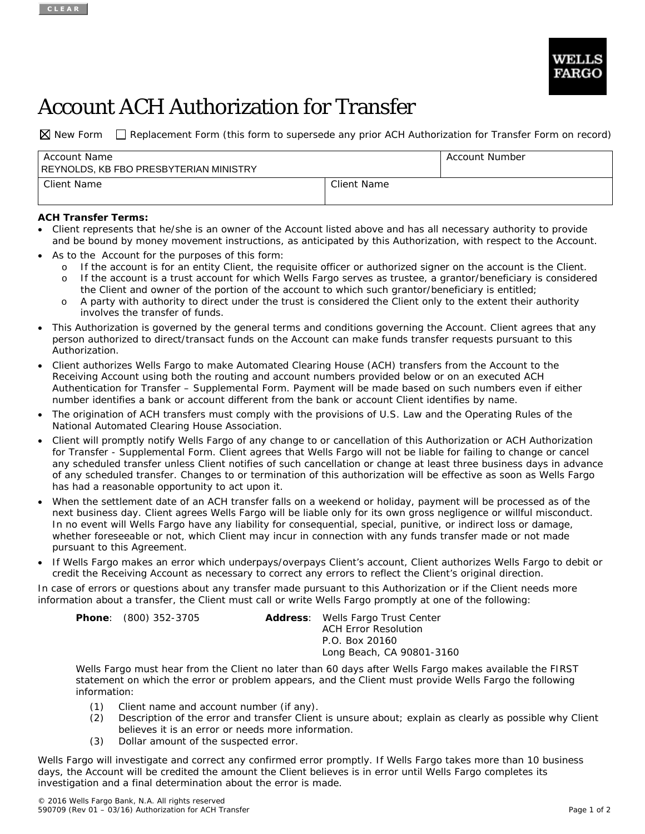

# Account ACH Authorization for Transfer

 $\boxtimes$  New Form  $\Box$  Replacement Form (this form to supersede any prior ACH Authorization for Transfer Form on record)

| Account Name<br>REYNOLDS, KB FBO PRESBYTERIAN MINISTRY |             | Account Number |
|--------------------------------------------------------|-------------|----------------|
| Client Name                                            | Client Name |                |

## **ACH Transfer Terms:**

- Client represents that he/she is an owner of the Account listed above and has all necessary authority to provide and be bound by money movement instructions, as anticipated by this Authorization, with respect to the Account.
- As to the Account for the purposes of this form:
	- o If the account is for an entity Client, the requisite officer or authorized signer on the account is the Client. o If the account is a trust account for which Wells Fargo serves as trustee, a grantor/beneficiary is considered the Client and owner of the portion of the account to which such grantor/beneficiary is entitled;
	- o A party with authority to direct under the trust is considered the Client only to the extent their authority involves the transfer of funds.
- This Authorization is governed by the general terms and conditions governing the Account. Client agrees that any person authorized to direct/transact funds on the Account can make funds transfer requests pursuant to this Authorization.
- Client authorizes Wells Fargo to make Automated Clearing House (ACH) transfers from the Account to the Receiving Account using both the routing and account numbers provided below or on an executed ACH Authentication for Transfer – Supplemental Form. Payment will be made based on such numbers even if either number identifies a bank or account different from the bank or account Client identifies by name.
- The origination of ACH transfers must comply with the provisions of U.S. Law and the Operating Rules of the National Automated Clearing House Association.
- Client will promptly notify Wells Fargo of any change to or cancellation of this Authorization or ACH Authorization for Transfer - Supplemental Form. Client agrees that Wells Fargo will not be liable for failing to change or cancel any scheduled transfer unless Client notifies of such cancellation or change at least three business days in advance of any scheduled transfer. Changes to or termination of this authorization will be effective as soon as Wells Fargo has had a reasonable opportunity to act upon it.
- When the settlement date of an ACH transfer falls on a weekend or holiday, payment will be processed as of the next business day. Client agrees Wells Fargo will be liable only for its own gross negligence or willful misconduct. In no event will Wells Fargo have any liability for consequential, special, punitive, or indirect loss or damage, whether foreseeable or not, which Client may incur in connection with any funds transfer made or not made pursuant to this Agreement.
- If Wells Fargo makes an error which underpays/overpays Client's account, Client authorizes Wells Fargo to debit or credit the Receiving Account as necessary to correct any errors to reflect the Client's original direction.

In case of errors or questions about any transfer made pursuant to this Authorization or if the Client needs more information about a transfer, the Client must call or write Wells Fargo promptly at one of the following:

| <b>Phone:</b> (800) 352-3705 | Address: Wells Fargo Trust Center |  |
|------------------------------|-----------------------------------|--|
|                              | <b>ACH Error Resolution</b>       |  |
|                              | P.O. Box 20160                    |  |
|                              | Long Beach, CA 90801-3160         |  |

Wells Fargo must hear from the Client no later than 60 days after Wells Fargo makes available the FIRST statement on which the error or problem appears, and the Client must provide Wells Fargo the following information:

- (1) Client name and account number (if any).
- (2) Description of the error and transfer Client is unsure about; explain as clearly as possible why Client believes it is an error or needs more information.
- (3) Dollar amount of the suspected error.

Wells Fargo will investigate and correct any confirmed error promptly. If Wells Fargo takes more than 10 business days, the Account will be credited the amount the Client believes is in error until Wells Fargo completes its investigation and a final determination about the error is made.